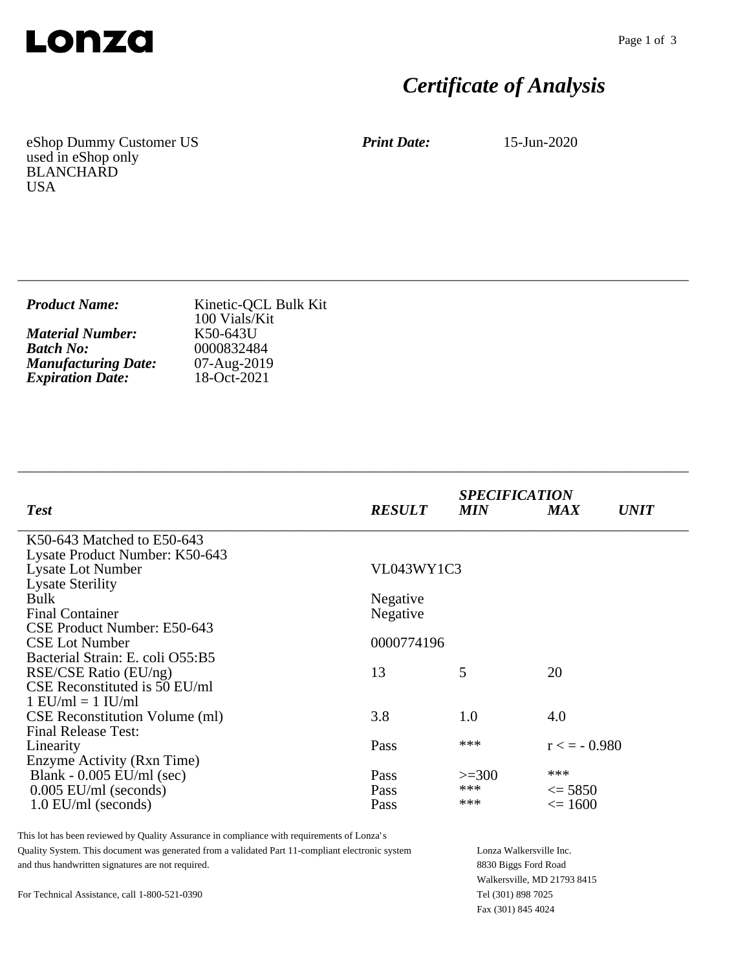

# *Certificate of Analysis*

eShop Dummy Customer US used in eShop only BLANCHARD USA

*Print Date:* 15-Jun-2020

| <b>Product Name:</b>       | Kinetic-QCL Bulk Kit<br>100 Vials/Kit |
|----------------------------|---------------------------------------|
| <b>Material Number:</b>    | K50-643U                              |
| <b>Batch No:</b>           | 0000832484                            |
| <b>Manufacturing Date:</b> | 07-Aug-2019                           |
| <b>Expiration Date:</b>    | 18-Oct-2021                           |

\_\_\_\_\_\_\_\_\_\_\_\_\_\_\_\_\_\_\_\_\_\_\_\_\_\_\_\_\_\_\_\_\_\_\_\_\_\_\_\_\_\_\_\_\_\_\_\_\_\_\_\_\_\_\_\_\_\_\_\_\_\_\_\_\_\_\_\_\_\_\_\_\_\_\_\_

| <b>Test</b>                           | <b>RESULT</b>     | <b>SPECIFICATION</b><br><b>MIN</b> | <b>MAX</b>        | <i>UNIT</i> |
|---------------------------------------|-------------------|------------------------------------|-------------------|-------------|
| K50-643 Matched to E50-643            |                   |                                    |                   |             |
| Lysate Product Number: K50-643        |                   |                                    |                   |             |
| <b>Lysate Lot Number</b>              | <b>VL043WY1C3</b> |                                    |                   |             |
| <b>Lysate Sterility</b>               |                   |                                    |                   |             |
| <b>Bulk</b>                           | Negative          |                                    |                   |             |
| <b>Final Container</b>                | Negative          |                                    |                   |             |
| CSE Product Number: E50-643           |                   |                                    |                   |             |
| <b>CSE Lot Number</b>                 | 0000774196        |                                    |                   |             |
| Bacterial Strain: E. coli O55:B5      |                   |                                    |                   |             |
| RSE/CSE Ratio (EU/ng)                 | 13                | 5                                  | 20                |             |
| CSE Reconstituted is 50 EU/ml         |                   |                                    |                   |             |
| $1$ EU/ml = $1$ IU/ml                 |                   |                                    |                   |             |
| <b>CSE</b> Reconstitution Volume (ml) | 3.8               | 1.0                                | 4.0               |             |
| <b>Final Release Test:</b>            |                   |                                    |                   |             |
| Linearity                             | Pass              | ***                                | $r \leq 50.980$   |             |
| Enzyme Activity (Rxn Time)            |                   |                                    |                   |             |
| Blank - $0.005$ EU/ml (sec)           | Pass              | $>=300$                            | ***               |             |
| $0.005$ EU/ml (seconds)               | Pass              | ***                                | $\leq$ 5850       |             |
| $1.0$ EU/ml (seconds)                 | Pass              | ***                                | $\epsilon = 1600$ |             |

\_\_\_\_\_\_\_\_\_\_\_\_\_\_\_\_\_\_\_\_\_\_\_\_\_\_\_\_\_\_\_\_\_\_\_\_\_\_\_\_\_\_\_\_\_\_\_\_\_\_\_\_\_\_\_\_\_\_\_\_\_\_\_\_\_\_\_\_\_\_\_\_\_\_\_\_

This lot has been reviewed by Quality Assurance in compliance with requirements of Lonza's Quality System. This document was generated from a validated Part 11-compliant electronic system and thus handwritten signatures are not required.

Lonza Walkersville Inc. 8830 Biggs Ford Road Walkersville, MD 21793 8415 Tel (301) 898 7025 Fax (301) 845 4024

For Technical Assistance, call 1-800-521-0390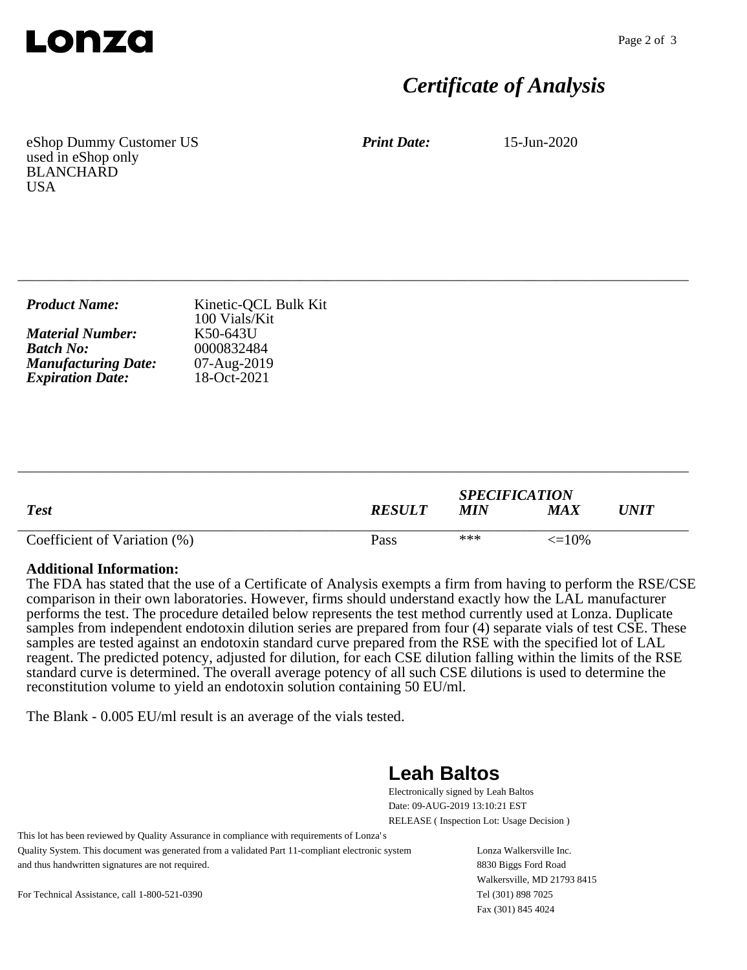

### *Certificate of Analysis*

eShop Dummy Customer US used in eShop only BLANCHARD **USA** 

*Print Date:* 15-Jun-2020

| <b>Product Name:</b>       | Kinetic-QCL Bulk Kit<br>100 Vials/Kit |
|----------------------------|---------------------------------------|
| <b>Material Number:</b>    | K50-643U                              |
| <b>Batch No:</b>           | 0000832484                            |
| <b>Manufacturing Date:</b> | 07-Aug-2019                           |
| <b>Expiration Date:</b>    | 18-Oct-2021                           |

\_\_\_\_\_\_\_\_\_\_\_\_\_\_\_\_\_\_\_\_\_\_\_\_\_\_\_\_\_\_\_\_\_\_\_\_\_\_\_\_\_\_\_\_\_\_\_\_\_\_\_\_\_\_\_\_\_\_\_\_\_\_\_\_\_\_\_\_\_\_\_\_\_\_\_\_

| <b>Test</b>                  | <b>RESULT</b> | <b>SPECIFICATION</b><br><b>MIN</b> | MA X              | UNIT |
|------------------------------|---------------|------------------------------------|-------------------|------|
| Coefficient of Variation (%) | Pass          | ***                                | $\epsilon = 10\%$ |      |

\_\_\_\_\_\_\_\_\_\_\_\_\_\_\_\_\_\_\_\_\_\_\_\_\_\_\_\_\_\_\_\_\_\_\_\_\_\_\_\_\_\_\_\_\_\_\_\_\_\_\_\_\_\_\_\_\_\_\_\_\_\_\_\_\_\_\_\_\_\_\_\_\_\_\_\_

#### **Additional Information:**

The FDA has stated that the use of a Certificate of Analysis exempts a firm from having to perform the RSE/CSE comparison in their own laboratories. However, firms should understand exactly how the LAL manufacturer performs the test. The procedure detailed below represents the test method currently used at Lonza. Duplicate samples from independent endotoxin dilution series are prepared from four (4) separate vials of test CSE. These samples are tested against an endotoxin standard curve prepared from the RSE with the specified lot of LAL reagent. The predicted potency, adjusted for dilution, for each CSE dilution falling within the limits of the RSE standard curve is determined. The overall average potency of all such CSE dilutions is used to determine the reconstitution volume to yield an endotoxin solution containing 50 EU/ml.

The Blank - 0.005 EU/ml result is an average of the vials tested.

### **Leah Baltos**

Electronically signed by Leah Baltos Date: 09-AUG-2019 13:10:21 EST RELEASE ( Inspection Lot: Usage Decision )

This lot has been reviewed by Quality Assurance in compliance with requirements of Lonza's Quality System. This document was generated from a validated Part 11-compliant electronic system and thus handwritten signatures are not required.

Lonza Walkersville Inc. 8830 Biggs Ford Road Walkersville, MD 21793 8415 Tel (301) 898 7025 Fax (301) 845 4024

For Technical Assistance, call 1-800-521-0390